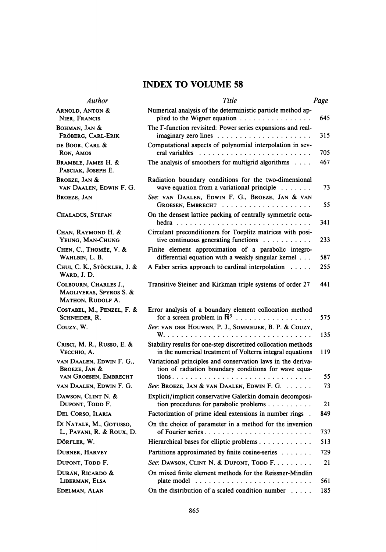# INDEX TO VOLUME 58

| <b>Author</b>                                                         | Title                                                                                                                       | Page     |
|-----------------------------------------------------------------------|-----------------------------------------------------------------------------------------------------------------------------|----------|
| <b>ARNOLD, ANTON &amp;</b><br>NIER, FRANCIS                           | Numerical analysis of the deterministic particle method ap-<br>plied to the Wigner equation                                 | 645.     |
| <b>BOHMAN, JAN &amp;</b><br>FRÖBERG, CARL-ERIK                        | The F-function revisited: Power series expansions and real-                                                                 | 315      |
| DE BOOR, CARL &<br>RON, AMOS                                          | Computational aspects of polynomial interpolation in sev-                                                                   | 705      |
| BRAMBLE, JAMES H. &<br>PASCIAK, JOSEPH E.                             | The analysis of smoothers for multigrid algorithms $\dots$                                                                  | 467      |
| BROEZE, JAN &<br>VAN DAALEN, EDWIN F. G.                              | Radiation boundary conditions for the two-dimensional<br>wave equation from a variational principle                         | 73       |
| <b>BROEZE, JAN</b>                                                    | See: VAN DAALEN, EDWIN F. G., BROEZE, JAN & VAN                                                                             | 55       |
| Chaladus, Stefan                                                      | On the densest lattice packing of centrally symmetric octa-                                                                 | 341      |
| CHAN, RAYMOND H. &<br>YEUNG, MAN-CHUNG                                | Circulant preconditioners for Toeplitz matrices with posi-<br>tive continuous generating functions $\ldots$                 | 233      |
| CHEN, C., THOMÉE, V. &<br>WAHLBIN, L. B.                              | Finite element approximation of a parabolic integro-<br>differential equation with a weakly singular kernel                 | 587      |
| CHUI, C. K., STÖCKLER, J. &<br>WARD, J.D.                             | A Faber series approach to cardinal interpolation $\dots$                                                                   | 255      |
| COLBOURN, CHARLES J.,<br>MAGLIVERAS, SPYROS S. &<br>MATHON, RUDOLF A. | Transitive Steiner and Kirkman triple systems of order 27                                                                   | 441      |
| COSTABEL, M., PENZEL, F. &<br>SCHNEIDER, R.                           | Error analysis of a boundary element collocation method<br>for a screen problem in $\mathbb{R}^3$                           | 575      |
| Couzy, W.                                                             | See: VAN DER HOUWEN, P. J., SOMMEIJER, B. P. & COUZY,                                                                       | 135      |
| CRISCI, M. R., RUSSO, E. &<br><b>VECCHIO, A.</b>                      | Stability results for one-step discretized collocation methods<br>in the numerical treatment of Volterra integral equations | 119      |
| VAN DAALEN, EDWIN F. G.,<br><b>BROEZE, JAN &amp;</b>                  | Variational principles and conservation laws in the deriva-<br>tion of radiation boundary conditions for wave equa-         |          |
| VAN GROESEN, EMBRECHT<br>VAN DAALEN, EDWIN F. G.                      |                                                                                                                             | 55<br>73 |
|                                                                       | See: Broeze, Jan & van Daalen, Edwin F. G.                                                                                  |          |
| DAWSON, CLINT N. &<br>DUPONT, TODD F.                                 | Explicit/implicit conservative Galerkin domain decomposi-<br>tion procedures for parabolic problems $\ldots$                | 21       |
| DEL CORSO, ILARIA                                                     | Factorization of prime ideal extensions in number rings.                                                                    | 849      |
| DI NATALE, M., GOTUSSO,<br>L., PAVANI, R. & ROUX, D.                  | On the choice of parameter in a method for the inversion<br>of Fourier series                                               | 737      |
| DÖRFLER, W.                                                           | Hierarchical bases for elliptic problems                                                                                    | 513      |
| <b>DUBNER, HARVEY</b>                                                 | Partitions approximated by finite cosine-series                                                                             | 729      |
| DUPONT, TODD F.                                                       | See: DAWSON, CLINT N. & DUPONT, TODD F.                                                                                     | 21       |
| DURÁN, RICARDO &<br>LIBERMAN, ELSA                                    | On mixed finite element methods for the Reissner-Mindlin<br>plate model                                                     | 561      |
| EDELMAN, ALAN                                                         | On the distribution of a scaled condition number $\dots$                                                                    | 185      |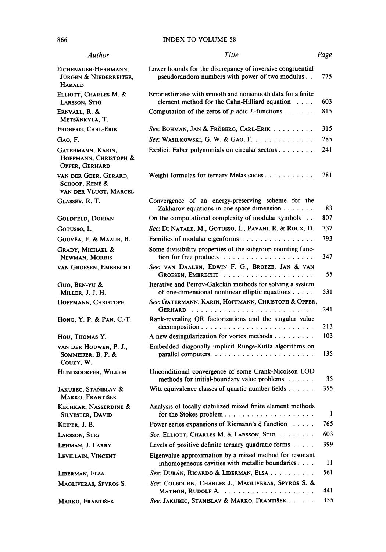### 866 INDEX TO VOLUME 58

| Author                                                           | Title                                                                                                                                        | Page |
|------------------------------------------------------------------|----------------------------------------------------------------------------------------------------------------------------------------------|------|
| Eichenauer-Herrmann,<br>JÜRGEN & NIEDERREITER,<br><b>HARALD</b>  | Lower bounds for the discrepancy of inversive congruential<br>pseudorandom numbers with power of two modulus                                 | 775  |
| ELLIOTT, CHARLES M. &<br>LARSSON, STIG                           | Error estimates with smooth and nonsmooth data for a finite<br>element method for the Cahn-Hilliard equation $\ldots$ .                      | 603  |
| ERNVALL, R. &<br>METSÄNKYLÄ, T.                                  | Computation of the zeros of $p$ -adic L-functions $\dots \dots$                                                                              | 815  |
| Fröberg, Carl-Erik                                               | See: BOHMAN, JAN & FRÖBERG, CARL-ERIK                                                                                                        | 315  |
| GAO, F.                                                          | See: WASILKOWSKI, G. W. & GAO, F.                                                                                                            | 285  |
| GATERMANN, KARIN,<br>HOFFMANN, CHRISTOPH &<br>OPFER, GERHARD     | Explicit Faber polynomials on circular sectors                                                                                               | 241  |
| VAN DER GEER, GERARD,<br>SCHOOF, RENÉ &<br>VAN DER VLUGT, MARCEL |                                                                                                                                              | 781  |
| GLASSEY, R. T.                                                   | Convergence of an energy-preserving scheme for the<br>Zakharov equations in one space dimension                                              | 83   |
| <b>GOLDFELD, DORIAN</b>                                          | On the computational complexity of modular symbols                                                                                           | 807  |
| Gotusso, L.                                                      | See: DI NATALE, M., GOTUSSO, L., PAVANI, R. & ROUX, D.                                                                                       | 737  |
| GOUVÊA, F. & MAZUR, B.                                           | Families of modular eigenforms                                                                                                               | 793  |
| <b>GRADY, MICHAEL &amp;</b><br>NEWMAN, MORRIS                    | Some divisibility properties of the subgroup counting func-                                                                                  | 347  |
| VAN GROESEN, EMBRECHT                                            | See: VAN DAALEN, EDWIN F. G., BROEZE, JAN & VAN                                                                                              | 55   |
| GUO, BEN-YU &<br>MILLER, J. J. H.                                | Iterative and Petrov-Galerkin methods for solving a system<br>of one-dimensional nonlinear elliptic equations                                | 531  |
| HOFFMANN, CHRISTOPH                                              | See: GATERMANN, KARIN, HOFFMANN, CHRISTOPH & OPFER,                                                                                          | 241  |
| HONG, Y. P. & PAN, C.-T.                                         | Rank-revealing QR factorizations and the singular value<br>$decomposition \dots \dots \dots \dots \dots \dots \dots \dots \dots \dots \dots$ | 213  |
| HOU, THOMAS Y.                                                   | A new desingularization for vortex methods                                                                                                   | 103  |
| VAN DER HOUWEN, P. J.,<br>SOMMEIJER, B. P. &<br>Couzy, W.        | Embedded diagonally implicit Runge-Kutta algorithms on                                                                                       | 135  |
| HUNDSDORFER, WILLEM                                              | Unconditional convergence of some Crank-Nicolson LOD<br>methods for initial-boundary value problems                                          | 35   |
| JAKUBEC, STANISLAV &<br>MARKO, FRANTIŠEK                         | Witt equivalence classes of quartic number fields $\dots$                                                                                    | 355  |
| KECHKAR, NASSERDINE &<br><b>SILVESTER, DAVID</b>                 | Analysis of locally stabilized mixed finite element methods                                                                                  | 1    |
| KEIPER, J. B.                                                    | Power series expansions of Riemann's $\xi$ function                                                                                          | 765  |
| LARSSON, STIG                                                    | See: ELLIOTT, CHARLES M. & LARSSON, STIG                                                                                                     | 603  |
| LEHMAN, J. LARRY                                                 | Levels of positive definite ternary quadratic forms $\dots$ .                                                                                | 399  |
| LEVILLAIN, VINCENT                                               | Eigenvalue approximation by a mixed method for resonant<br>inhomogeneous cavities with metallic boundaries                                   | 11   |
| LIBERMAN, ELSA                                                   | See: DURÁN, RICARDO & LIBERMAN, ELSA                                                                                                         | 561  |
| MAGLIVERAS, SPYROS S.                                            | See: COLBOURN, CHARLES J., MAGLIVERAS, SPYROS S. &                                                                                           | 441  |
| MARKO, FRANTIŠEK                                                 | See: JAKUBEC, STANISLAV & MARKO, FRANTIŠEK                                                                                                   | 355  |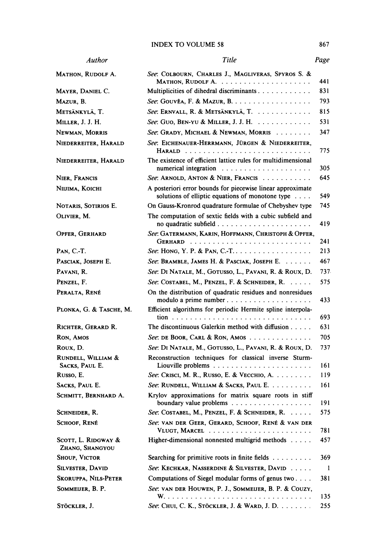# INDEX TO VOLUME 58 867

| Author                                 | Title                                                                                                                              | Page |
|----------------------------------------|------------------------------------------------------------------------------------------------------------------------------------|------|
| MATHON, RUDOLF A.                      | See: COLBOURN, CHARLES J., MAGLIVERAS, SPYROS S. &                                                                                 | 441  |
| MAYER, DANIEL C.                       | Multiplicities of dihedral discriminants                                                                                           | 831  |
| Mazur, B.                              | See: GOUVÊA, F. & MAZUR, B.                                                                                                        | 793  |
| Metsänkylä, T.                         | See: ERNVALL, R. & METSÄNKYLÄ, T.                                                                                                  | 815  |
| Miller, J. J. H.                       | See: Guo, BEN-YU & MILLER, J. J. H.                                                                                                | 531  |
| NEWMAN, MORRIS                         | See: GRADY, MICHAEL & NEWMAN, MORRIS                                                                                               | 347  |
| NIEDERREITER, HARALD                   | See: EICHENAUER-HERRMANN, JÜRGEN & NIEDERREITER,                                                                                   | 775  |
| NIEDERREITER, HARALD                   | The existence of efficient lattice rules for multidimensional<br>numerical integration $\ldots \ldots \ldots \ldots \ldots \ldots$ | 305  |
| NIER, FRANCIS                          | See: ARNOLD, ANTON & NIER, FRANCIS                                                                                                 | 645  |
| NIIJIMA, KOICHI                        | A posteriori error bounds for piecewise linear approximate<br>solutions of elliptic equations of monotone type $\dots$             | 549  |
| NOTARIS, SOTIRIOS E.                   | On Gauss-Kronrod quadrature formulae of Chebyshev type                                                                             | 745  |
| OLIVIER, M.                            | The computation of sextic fields with a cubic subfield and                                                                         | 419  |
| OPFER, GERHARD                         | See: GATERMANN, KARIN, HOFFMANN, CHRISTOPH & OPFER,                                                                                | 241  |
| PAN, C.-T.                             | See: HONG, Y. P. & PAN, C.-T                                                                                                       | 213  |
| PASCIAK, JOSEPH E.                     | See: BRAMBLE, JAMES H. & PASCIAK, JOSEPH E.                                                                                        | 467  |
| PAVANI, R.                             | See: DI NATALE, M., GOTUSSO, L., PAVANI, R. & ROUX, D.                                                                             | 737. |
| PENZEL, F.                             | See: COSTABEL, M., PENZEL, F. & SCHNEIDER, R.                                                                                      | 575  |
| Peralta, René                          | On the distribution of quadratic residues and nonresidues<br>modulo a prime number                                                 | 433  |
| PLONKA, G. & TASCHE, M.                | Efficient algorithms for periodic Hermite spline interpola-                                                                        | 693  |
| RICHTER, GERARD R.                     | The discontinuous Galerkin method with diffusion $\dots$ .                                                                         | 631  |
| RON, AMOS                              | See: DE BOOR, CARL & RON, AMOS                                                                                                     | 705  |
| Roux, D.                               | See: DI NATALE, M., GOTUSSO, L., PAVANI, R. & ROUX, D.                                                                             | 737  |
| RUNDELL, WILLIAM &<br>SACKS, PAUL E.   | Reconstruction techniques for classical inverse Sturm-                                                                             | 161  |
| Russo, E.                              | See: Crisci, M. R., Russo, E. & Vecchio, A.                                                                                        | 119  |
| Sacks, Paul E.                         | See: RUNDELL, WILLIAM & SACKS, PAUL E.                                                                                             | 161  |
| SCHMITT, BERNHARD A.                   | Krylov approximations for matrix square roots in stiff                                                                             | 191  |
| SCHNEIDER, R.                          | See: COSTABEL, M., PENZEL, F. & SCHNEIDER, R.                                                                                      | 575  |
| SCHOOF, RENÉ                           | See: VAN DER GEER, GERARD, SCHOOF, RENÉ & VAN DER                                                                                  | 781  |
| SCOTT, L. RIDGWAY &<br>ZHANG, SHANGYOU | Higher-dimensional nonnested multigrid methods                                                                                     | 457  |
| Shoup, Victor                          | Searching for primitive roots in finite fields                                                                                     | 369  |
| SILVESTER, DAVID                       | See: KECHKAR, NASSERDINE & SILVESTER, DAVID                                                                                        | -1   |
| <b>SKORUPPA, NILS-PETER</b>            | Computations of Siegel modular forms of genus two                                                                                  | 381  |
| SOMMEIJER, B. P.                       | See: VAN DER HOUWEN, P. J., SOMMEIJER, B. P. & COUZY,                                                                              | 135  |
| STÖCKLER, J.                           | See: Chui, C. K., Stöckler, J. & Ward, J. D.                                                                                       | 255  |